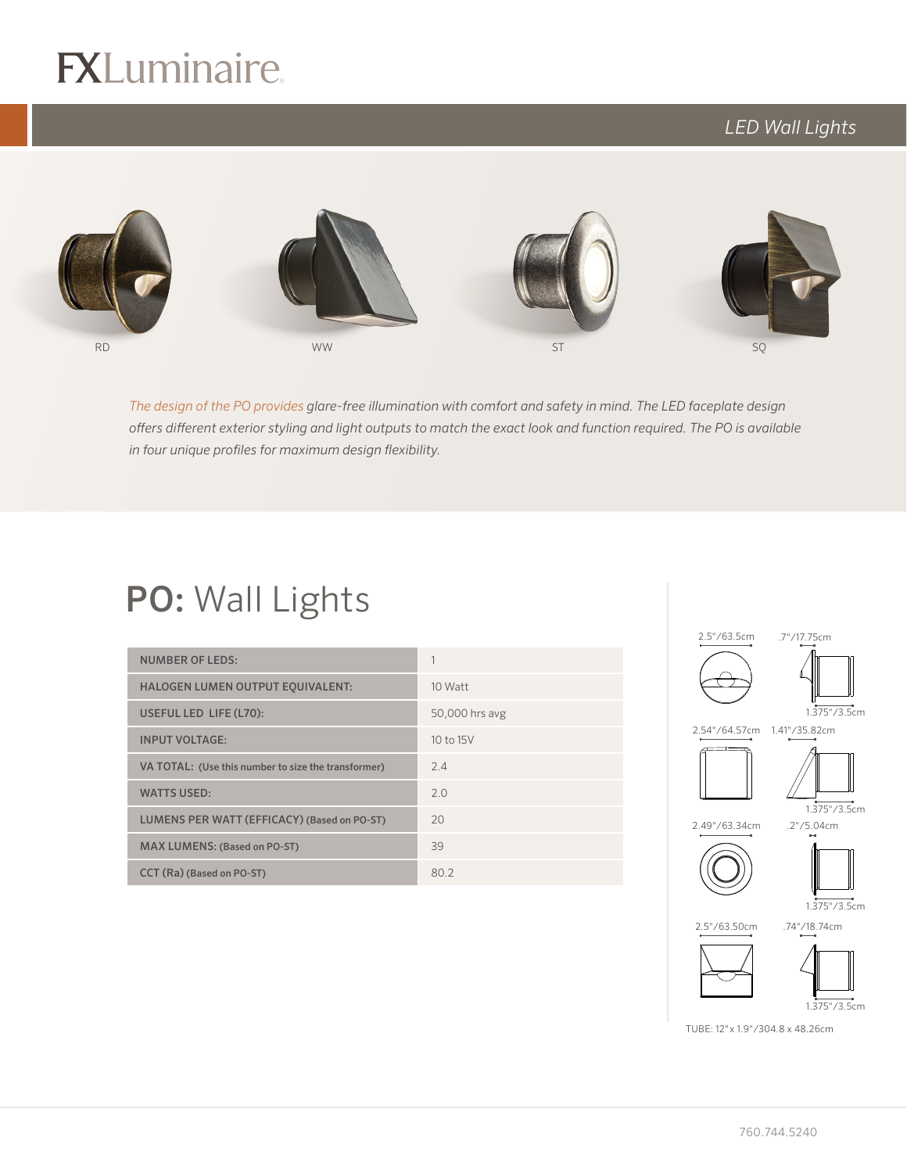# $R$

## *LED Wall Lights*



logo (4-color CMYK)

*The design of the PO provides glare-free illumination with comfort and safety in mind. The LED faceplate design offers different exterior styling and light outputs to match the exact look and function required. The PO is available in four unique profiles for maximum design flexibility.*

## PO: Wall Lights

| <b>NUMBER OF LEDS:</b>                              |                |
|-----------------------------------------------------|----------------|
| <b>HALOGEN LUMEN OUTPUT EQUIVALENT:</b>             | 10 Watt        |
| USEFUL LED LIFE (L70):                              | 50,000 hrs avg |
| <b>INPUT VOLTAGE:</b>                               | 10 to 15V      |
| VA TOTAL: (Use this number to size the transformer) | 2.4            |
| <b>WATTS USED:</b>                                  | 2.0            |
| LUMENS PER WATT (EFFICACY) (Based on PO-ST)         | 20             |
| <b>MAX LUMENS: (Based on PO-ST)</b>                 | 39             |
| CCT (Ra) (Based on PO-ST)                           | 80.2           |



TUBE: 12"x 1.9"/304.8 x 48.26cm